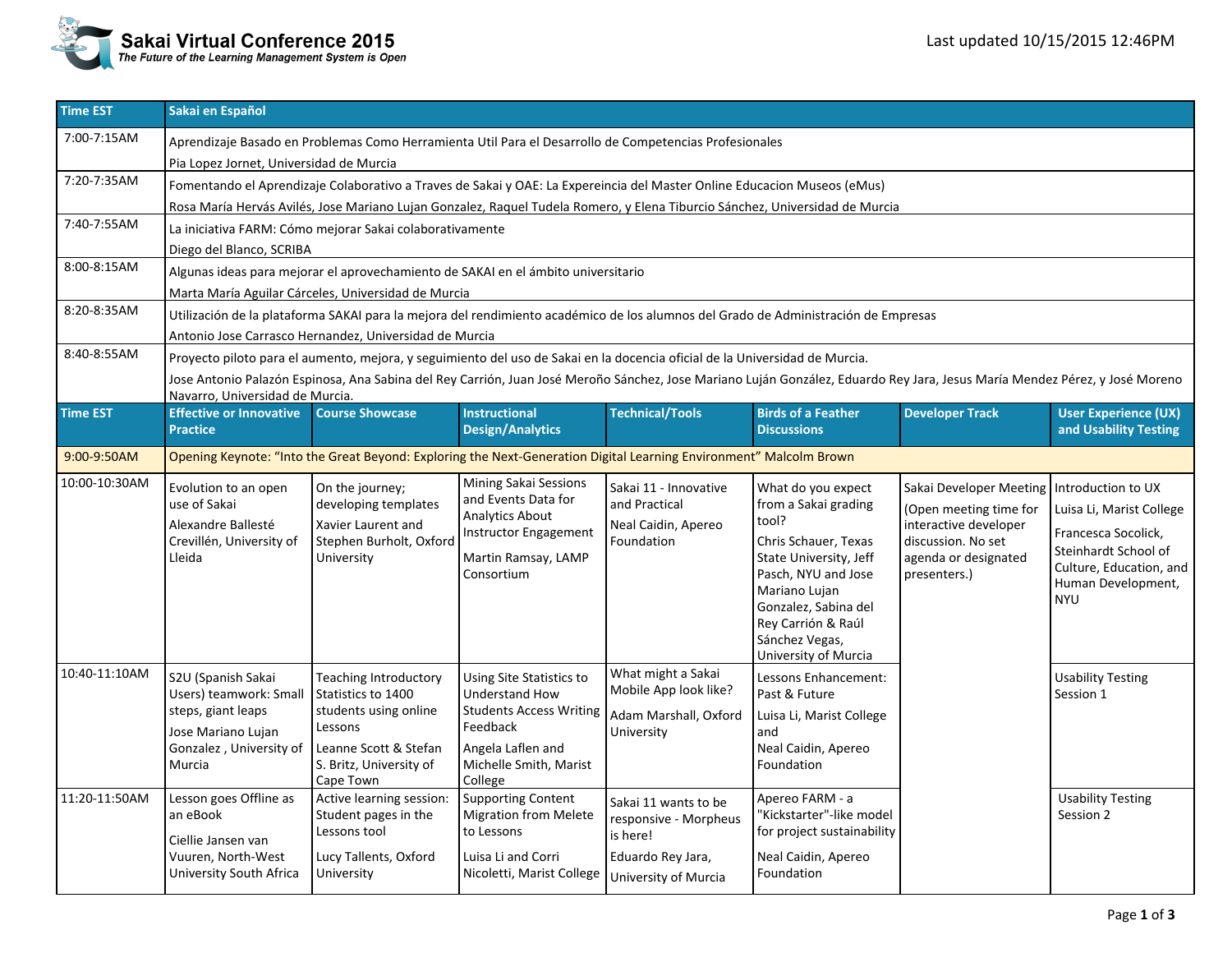

| <b>Time EST</b> | Sakai en Español                                                                                                                                                                      |                                                                                                                                                         |                                                                                                                                                                  |                                                                                                        |                                                                                                                                                                                                                                       |                                                                                                                                          |                                                                                                                                                              |  |  |  |  |  |
|-----------------|---------------------------------------------------------------------------------------------------------------------------------------------------------------------------------------|---------------------------------------------------------------------------------------------------------------------------------------------------------|------------------------------------------------------------------------------------------------------------------------------------------------------------------|--------------------------------------------------------------------------------------------------------|---------------------------------------------------------------------------------------------------------------------------------------------------------------------------------------------------------------------------------------|------------------------------------------------------------------------------------------------------------------------------------------|--------------------------------------------------------------------------------------------------------------------------------------------------------------|--|--|--|--|--|
| 7:00-7:15AM     | Aprendizaje Basado en Problemas Como Herramienta Util Para el Desarrollo de Competencias Profesionales                                                                                |                                                                                                                                                         |                                                                                                                                                                  |                                                                                                        |                                                                                                                                                                                                                                       |                                                                                                                                          |                                                                                                                                                              |  |  |  |  |  |
|                 | Pia Lopez Jornet, Universidad de Murcia                                                                                                                                               |                                                                                                                                                         |                                                                                                                                                                  |                                                                                                        |                                                                                                                                                                                                                                       |                                                                                                                                          |                                                                                                                                                              |  |  |  |  |  |
| 7:20-7:35AM     | Fomentando el Aprendizaje Colaborativo a Traves de Sakai y OAE: La Expereincia del Master Online Educacion Museos (eMus)                                                              |                                                                                                                                                         |                                                                                                                                                                  |                                                                                                        |                                                                                                                                                                                                                                       |                                                                                                                                          |                                                                                                                                                              |  |  |  |  |  |
|                 | Rosa María Hervás Avilés, Jose Mariano Lujan Gonzalez, Raquel Tudela Romero, y Elena Tiburcio Sánchez, Universidad de Murcia                                                          |                                                                                                                                                         |                                                                                                                                                                  |                                                                                                        |                                                                                                                                                                                                                                       |                                                                                                                                          |                                                                                                                                                              |  |  |  |  |  |
| 7:40-7:55AM     |                                                                                                                                                                                       | La iniciativa FARM: Cómo mejorar Sakai colaborativamente                                                                                                |                                                                                                                                                                  |                                                                                                        |                                                                                                                                                                                                                                       |                                                                                                                                          |                                                                                                                                                              |  |  |  |  |  |
| 8:00-8:15AM     | Diego del Blanco, SCRIBA                                                                                                                                                              |                                                                                                                                                         |                                                                                                                                                                  |                                                                                                        |                                                                                                                                                                                                                                       |                                                                                                                                          |                                                                                                                                                              |  |  |  |  |  |
|                 | Algunas ideas para mejorar el aprovechamiento de SAKAI en el ámbito universitario                                                                                                     |                                                                                                                                                         |                                                                                                                                                                  |                                                                                                        |                                                                                                                                                                                                                                       |                                                                                                                                          |                                                                                                                                                              |  |  |  |  |  |
| 8:20-8:35AM     | Marta María Aguilar Cárceles, Universidad de Murcia                                                                                                                                   |                                                                                                                                                         |                                                                                                                                                                  |                                                                                                        |                                                                                                                                                                                                                                       |                                                                                                                                          |                                                                                                                                                              |  |  |  |  |  |
|                 | Utilización de la plataforma SAKAI para la mejora del rendimiento académico de los alumnos del Grado de Administración de Empresas                                                    |                                                                                                                                                         |                                                                                                                                                                  |                                                                                                        |                                                                                                                                                                                                                                       |                                                                                                                                          |                                                                                                                                                              |  |  |  |  |  |
| 8:40-8:55AM     | Antonio Jose Carrasco Hernandez, Universidad de Murcia<br>Proyecto piloto para el aumento, mejora, y seguimiento del uso de Sakai en la docencia oficial de la Universidad de Murcia. |                                                                                                                                                         |                                                                                                                                                                  |                                                                                                        |                                                                                                                                                                                                                                       |                                                                                                                                          |                                                                                                                                                              |  |  |  |  |  |
|                 | Jose Antonio Palazón Espinosa, Ana Sabina del Rey Carrión, Juan José Meroño Sánchez, Jose Mariano Luján González, Eduardo Rey Jara, Jesus María Mendez Pérez, y José Moreno           |                                                                                                                                                         |                                                                                                                                                                  |                                                                                                        |                                                                                                                                                                                                                                       |                                                                                                                                          |                                                                                                                                                              |  |  |  |  |  |
|                 | Navarro, Universidad de Murcia.                                                                                                                                                       |                                                                                                                                                         |                                                                                                                                                                  |                                                                                                        |                                                                                                                                                                                                                                       |                                                                                                                                          |                                                                                                                                                              |  |  |  |  |  |
| <b>Time EST</b> | <b>Effective or Innovative</b><br><b>Practice</b>                                                                                                                                     | <b>Course Showcase</b>                                                                                                                                  | Instructional<br><b>Design/Analytics</b>                                                                                                                         | <b>Technical/Tools</b>                                                                                 | <b>Birds of a Feather</b><br><b>Discussions</b>                                                                                                                                                                                       | <b>Developer Track</b>                                                                                                                   | <b>User Experience (UX)</b><br>and Usability Testing                                                                                                         |  |  |  |  |  |
| 9:00-9:50AM     | Opening Keynote: "Into the Great Beyond: Exploring the Next-Generation Digital Learning Environment" Malcolm Brown                                                                    |                                                                                                                                                         |                                                                                                                                                                  |                                                                                                        |                                                                                                                                                                                                                                       |                                                                                                                                          |                                                                                                                                                              |  |  |  |  |  |
| 10:00-10:30AM   | Evolution to an open<br>use of Sakai<br>Alexandre Ballesté<br>Crevillén, University of<br>Lleida                                                                                      | On the journey;<br>developing templates<br>Xavier Laurent and<br>Stephen Burholt, Oxford<br>University                                                  | <b>Mining Sakai Sessions</b><br>and Events Data for<br><b>Analytics About</b><br><b>Instructor Engagement</b><br>Martin Ramsay, LAMP<br>Consortium               | Sakai 11 - Innovative<br>and Practical<br>Neal Caidin, Apereo<br>Foundation                            | What do you expect<br>from a Sakai grading<br>tool?<br>Chris Schauer, Texas<br>State University, Jeff<br>Pasch, NYU and Jose<br>Mariano Lujan<br>Gonzalez, Sabina del<br>Rey Carrión & Raúl<br>Sánchez Vegas,<br>University of Murcia | Sakai Developer Meeting<br>(Open meeting time for<br>interactive developer<br>discussion. No set<br>agenda or designated<br>presenters.) | Introduction to UX<br>Luisa Li, Marist College<br>Francesca Socolick,<br>Steinhardt School of<br>Culture, Education, and<br>Human Development,<br><b>NYU</b> |  |  |  |  |  |
| 10:40-11:10AM   | S2U (Spanish Sakai<br>Users) teamwork: Small<br>steps, giant leaps<br>Jose Mariano Lujan<br>Gonzalez, University of<br>Murcia                                                         | <b>Teaching Introductory</b><br>Statistics to 1400<br>students using online<br>Lessons<br>Leanne Scott & Stefan<br>S. Britz, University of<br>Cape Town | <b>Using Site Statistics to</b><br><b>Understand How</b><br><b>Students Access Writing</b><br>Feedback<br>Angela Laflen and<br>Michelle Smith, Marist<br>College | What might a Sakai<br>Mobile App look like?<br>Adam Marshall, Oxford<br>University                     | Lessons Enhancement:<br>Past & Future<br>Luisa Li, Marist College<br>and<br>Neal Caidin, Apereo<br>Foundation                                                                                                                         |                                                                                                                                          | <b>Usability Testing</b><br>Session 1                                                                                                                        |  |  |  |  |  |
| 11:20-11:50AM   | Lesson goes Offline as<br>an eBook<br>Ciellie Jansen van<br>Vuuren, North-West<br>University South Africa                                                                             | Active learning session:<br>Student pages in the<br>Lessons tool<br>Lucy Tallents, Oxford<br>University                                                 | <b>Supporting Content</b><br><b>Migration from Melete</b><br>to Lessons<br>Luisa Li and Corri<br>Nicoletti, Marist College                                       | Sakai 11 wants to be<br>responsive - Morpheus<br>is here!<br>Eduardo Rey Jara,<br>University of Murcia | Apereo FARM - a<br>"Kickstarter"-like model<br>for project sustainability<br>Neal Caidin, Apereo<br>Foundation                                                                                                                        |                                                                                                                                          | <b>Usability Testing</b><br>Session 2                                                                                                                        |  |  |  |  |  |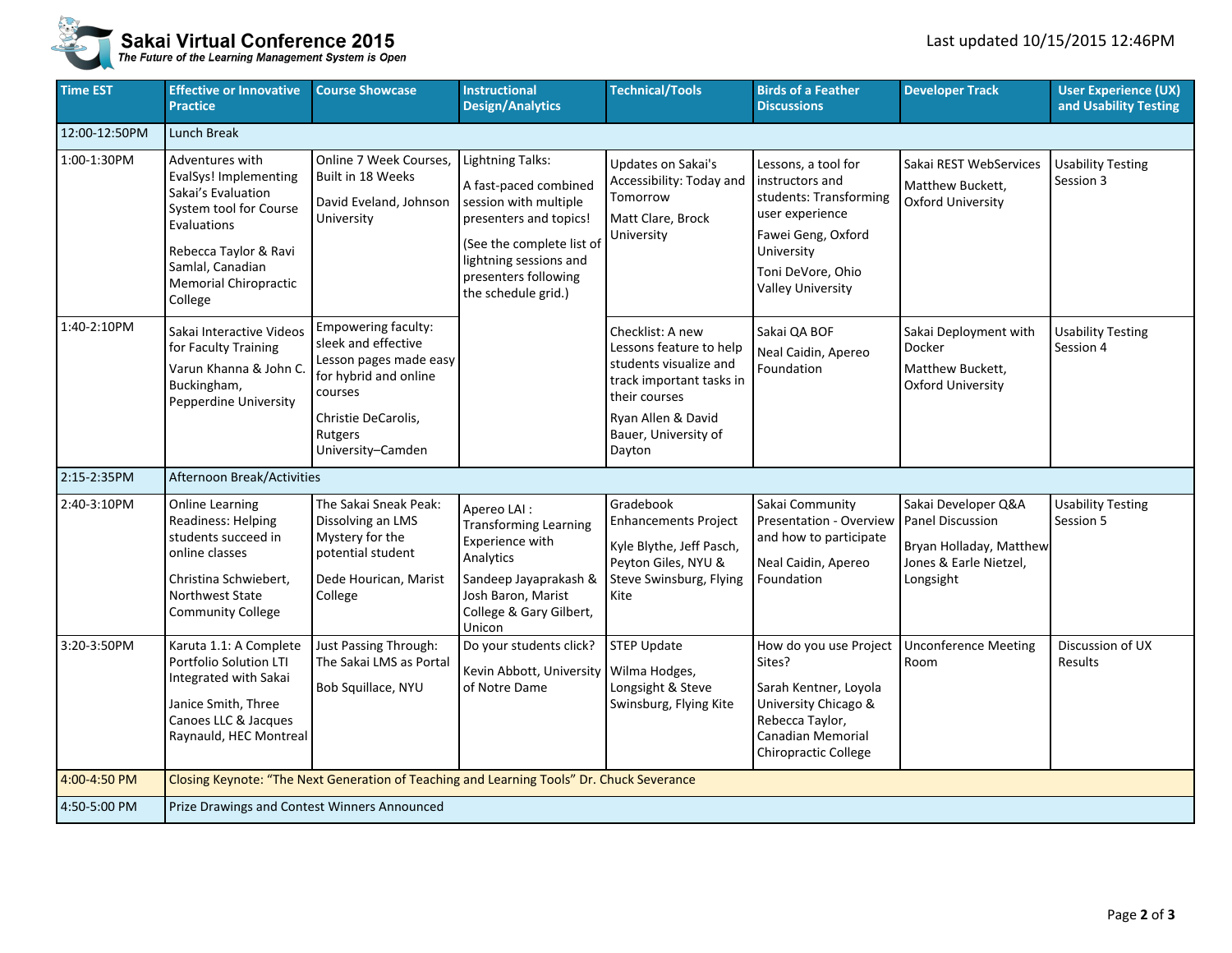

## **Sakai Virtual Conference 2015**<br>The Future of the Learning Management System is Open

| <b>Time EST</b> | <b>Effective or Innovative</b><br><b>Practice</b>                                                                                                                                               | <b>Course Showcase</b>                                                                                                                                          | <b>Instructional</b><br><b>Design/Analytics</b>                                                                                                                                                           | <b>Technical/Tools</b>                                                                                                                                                     | <b>Birds of a Feather</b><br><b>Discussions</b>                                                                                                                          | <b>Developer Track</b>                                                                                           | <b>User Experience (UX)</b><br>and Usability Testing |  |  |  |  |
|-----------------|-------------------------------------------------------------------------------------------------------------------------------------------------------------------------------------------------|-----------------------------------------------------------------------------------------------------------------------------------------------------------------|-----------------------------------------------------------------------------------------------------------------------------------------------------------------------------------------------------------|----------------------------------------------------------------------------------------------------------------------------------------------------------------------------|--------------------------------------------------------------------------------------------------------------------------------------------------------------------------|------------------------------------------------------------------------------------------------------------------|------------------------------------------------------|--|--|--|--|
| 12:00-12:50PM   | Lunch Break                                                                                                                                                                                     |                                                                                                                                                                 |                                                                                                                                                                                                           |                                                                                                                                                                            |                                                                                                                                                                          |                                                                                                                  |                                                      |  |  |  |  |
| 1:00-1:30PM     | Adventures with<br>EvalSys! Implementing<br>Sakai's Evaluation<br>System tool for Course<br>Evaluations<br>Rebecca Taylor & Ravi<br>Samlal, Canadian<br><b>Memorial Chiropractic</b><br>College | Online 7 Week Courses,<br>Built in 18 Weeks<br>David Eveland, Johnson<br>University                                                                             | <b>Lightning Talks:</b><br>A fast-paced combined<br>session with multiple<br>presenters and topics!<br>(See the complete list of<br>lightning sessions and<br>presenters following<br>the schedule grid.) | Updates on Sakai's<br>Accessibility: Today and<br>Tomorrow<br>Matt Clare, Brock<br>University                                                                              | Lessons, a tool for<br>instructors and<br>students: Transforming<br>user experience<br>Fawei Geng, Oxford<br>University<br>Toni DeVore, Ohio<br><b>Valley University</b> | Sakai REST WebServices<br>Matthew Buckett,<br><b>Oxford University</b>                                           | <b>Usability Testing</b><br>Session 3                |  |  |  |  |
| 1:40-2:10PM     | Sakai Interactive Videos<br>for Faculty Training<br>Varun Khanna & John C<br>Buckingham,<br>Pepperdine University                                                                               | Empowering faculty:<br>sleek and effective<br>Lesson pages made easy<br>for hybrid and online<br>courses<br>Christie DeCarolis,<br>Rutgers<br>University-Camden |                                                                                                                                                                                                           | Checklist: A new<br>Lessons feature to help<br>students visualize and<br>track important tasks in<br>their courses<br>Ryan Allen & David<br>Bauer, University of<br>Dayton | Sakai QA BOF<br>Neal Caidin, Apereo<br>Foundation                                                                                                                        | Sakai Deployment with<br>Docker<br>Matthew Buckett,<br><b>Oxford University</b>                                  | <b>Usability Testing</b><br>Session 4                |  |  |  |  |
| 2:15-2:35PM     | Afternoon Break/Activities                                                                                                                                                                      |                                                                                                                                                                 |                                                                                                                                                                                                           |                                                                                                                                                                            |                                                                                                                                                                          |                                                                                                                  |                                                      |  |  |  |  |
| 2:40-3:10PM     | <b>Online Learning</b><br><b>Readiness: Helping</b><br>students succeed in<br>online classes<br>Christina Schwiebert,<br>Northwest State<br><b>Community College</b>                            | The Sakai Sneak Peak:<br>Dissolving an LMS<br>Mystery for the<br>potential student<br>Dede Hourican, Marist<br>College                                          | Apereo LAI :<br><b>Transforming Learning</b><br>Experience with<br>Analytics<br>Sandeep Jayaprakash &<br>Josh Baron, Marist<br>College & Gary Gilbert,<br>Unicon                                          | Gradebook<br><b>Enhancements Project</b><br>Kyle Blythe, Jeff Pasch,<br>Peyton Giles, NYU &<br>Steve Swinsburg, Flying<br>Kite                                             | Sakai Community<br>Presentation - Overview<br>and how to participate<br>Neal Caidin, Apereo<br>Foundation                                                                | Sakai Developer Q&A<br><b>Panel Discussion</b><br>Bryan Holladay, Matthew<br>Jones & Earle Nietzel,<br>Longsight | <b>Usability Testing</b><br>Session 5                |  |  |  |  |
| 3:20-3:50PM     | Karuta 1.1: A Complete<br>Portfolio Solution LTI<br>Integrated with Sakai<br>Janice Smith, Three<br>Canoes LLC & Jacques<br>Raynauld, HEC Montreal                                              | Just Passing Through:<br>The Sakai LMS as Portal<br>Bob Squillace, NYU                                                                                          | Do your students click?<br>Kevin Abbott, University<br>of Notre Dame                                                                                                                                      | <b>STEP Update</b><br>Wilma Hodges,<br>Longsight & Steve<br>Swinsburg, Flying Kite                                                                                         | How do you use Project<br>Sites?<br>Sarah Kentner, Loyola<br>University Chicago &<br>Rebecca Taylor,<br>Canadian Memorial<br>Chiropractic College                        | <b>Unconference Meeting</b><br>Room                                                                              | Discussion of UX<br>Results                          |  |  |  |  |
| 4:00-4:50 PM    |                                                                                                                                                                                                 | Closing Keynote: "The Next Generation of Teaching and Learning Tools" Dr. Chuck Severance                                                                       |                                                                                                                                                                                                           |                                                                                                                                                                            |                                                                                                                                                                          |                                                                                                                  |                                                      |  |  |  |  |
| 4:50-5:00 PM    | Prize Drawings and Contest Winners Announced                                                                                                                                                    |                                                                                                                                                                 |                                                                                                                                                                                                           |                                                                                                                                                                            |                                                                                                                                                                          |                                                                                                                  |                                                      |  |  |  |  |